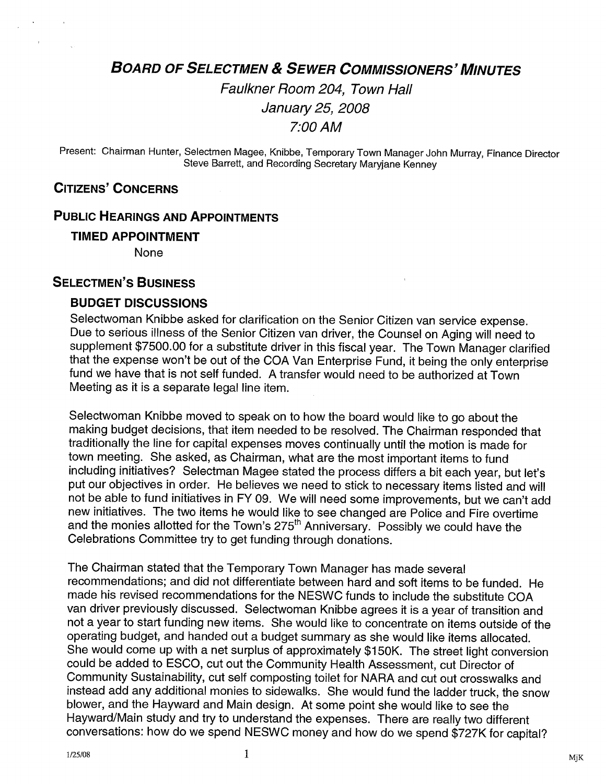# BOARD OF SELECTMEN & SEWER COMMISSIONERS' MINUTES

Faulkner Room 204, Town Hall January 25, 2008 7:00AM

Present: Chairman Hunter, Selectmen Magee, Knibbe, Temporary Town Manager John Murray, Finance Director Steve Barrett, and Recording Secretary Maryjane Kenney

# **CITIZENS' CONCERNS**

# PUBLIC HEARINGS AND APPOINTMENTS

TIMED APPOINTMENT

None

### SELECTMEN'S BUSINESS

### BUDGET DISCUSSIONS

Selectwoman Knibbe asked for clarification on the Senior Citizen van service expense. Due to serious illness of the Senior Citizen van driver, the Counsel on Aging will need to supplement \$7500.00 for <sup>a</sup> substitute driver in this fiscal year. The Town Manager clarified that the expense won't be out of the COA Van Enterprise Fund, it being the only enterprise fund we have that is not self funded. A transfer would need to be authorized at Town Meeting as it is <sup>a</sup> separate legal line item.

Selectwoman Knibbe moved to speak on to how the board would like to go about the making budget decisions, that item needed to be resolved. The Chairman responded that traditionally the line for capital expenses moves continually until the motion is made for town meeting. She asked, as Chairman, what are the most important items to fund including initiatives? Selectman Magee stated the process differs <sup>a</sup> bit each year, but let's put our objectives in order. He believes we need to stick to necessary items listed and will not be able to fund initiatives in FY 09. We will need some improvements, but we can't add new initiatives. The two items he would like to see changed are Police and Fire overtime and the monies allotted for the Town's 275<sup>th</sup> Anniversary. Possibly we could have the Celebrations Committee try to get funding through donations.

The Chairman stated that the Temporary Town Manager has made several recommendations; and did not differentiate between hard and soft items to be funded. He made his revised recommendations for the NESWC funds to include the substitute COA van driver previously discussed. Selectwoman Knibbe agrees it is <sup>a</sup> year of transition and not <sup>a</sup> year to start funding new items. She would like to concentrate on items outside of the operating budget, and handed out <sup>a</sup> budget summary as she would like items allocated. She would come up with <sup>a</sup> net surplus of approximately \$1 50K. The street light conversion could be added to ESCO, cut out the Community Health Assessment, cut Director of Community Sustainability, cut self composting toilet for NARA and cut out crosswalks and instead add any additional monies to sidewalks. She would fund the ladder truck, the snow blower, and the Hayward and Main design. At some point she would like to see the Hayward/Main study and try to understand the expenses. There are really two different conversations: how do we spend NESWC money and how do we spend \$727K for capital?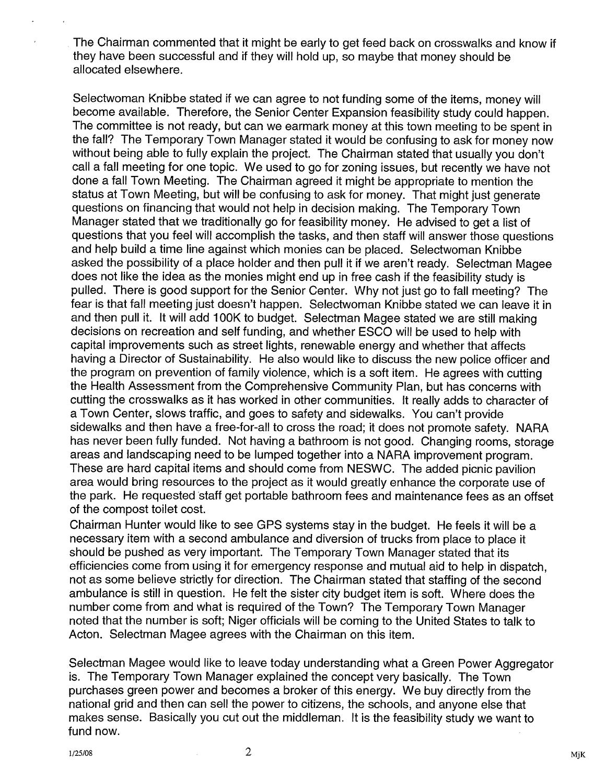The Chairman commented that it might be early to get teed back on crosswalks and know if they have been successful and if they will hold up, so maybe that money should be allocated elsewhere.

Selectwoman Knibbe stated if we can agree to not funding some of the items, money will become available. Therefore, the Senior Center Expansion feasibility study could happen. The committee is not ready, but can we earmark money at this town meeting to be spent in the fall? The Temporary Town Manager stated it would be confusing to ask for money now without being able to fully explain the project. The Chairman stated that usually you don't call a fall meeting for one topic. We used to go for zoning issues, but recently we have not done a fall Town Meeting. The Chairman agreed it might be appropriate to mention the status at Town Meeting, but will be confusing to ask for money. That might just generate questions on financing that would not help in decision making. The Temporary Town Manager stated that we traditionally go for feasibility money. He advised to get a list of questions that you feel will accomplish the tasks, and then staff will answer those questions and help build a time line against which monies can be placed. Selectwoman Knibbe asked the possibility of a place holder and then pull it if we aren't ready. Selectman Magee does not like the idea as the monies might end up in free cash if the feasibility study is pulled. There is good support for the Senior Center. Why not just go to fall meeting? The fear is that fall meeting just doesn't happen. Selectwoman Knibbe stated we can leave it in and then pull it. It will add 100K to budget. Selectman Magee stated we are still making decisions on recreation and self funding, and whether ESCO will be used to help with capital improvements such as street lights, renewable energy and whether that affects having a Director of Sustainability. He also would like to discuss the new police officer and the program on prevention of family violence, which is a soft item. He agrees with cutting the Health Assessment from the Comprehensive Community Plan, but has concerns with cutting the crosswalks as it has worked in other communities. It really adds to character of a Town Center, slows traffic, and goes to safety and sidewalks. You can't provide sidewalks and then have a free-for-all to cross the road; it does not promote safety. NARA has never been fully funded. Not having a bathroom is not good. Changing rooms, storage areas and landscaping need to be lumped together into a NARA improvement program. These are hard capital items and should come from NESWC. The added picnic pavilion area would bring resources to the project as it would greatly enhance the corporate use of the park. He requested staff get portable bathroom fees and maintenance fees as an offset of the compost toilet cost.

Chairman Hunter would like to see GPS systems stay in the budget. He feels it will be a necessary item with a second ambulance and diversion of trucks from place to place it should be pushed as very important. The Temporary Town Manager stated that its efficiencies come from using it for emergency response and mutual aid to help in dispatch, not as some believe strictly for direction. The Chairman stated that staffing of the second ambulance is still in question. He felt the sister city budget item is soft. Where does the number come from and what is required of the Town? The Temporary Town Manager noted that the number is soft; Niger officials will be coming to the United States to talk to Acton. Selectman Magee agrees with the Chairman on this item.

Selectman Magee would like to leave today understanding what a Green Power Aggregator is. The Temporary Town Manager explained the concept very basically. The Town purchases green power and becomes a broker of this energy. We buy directly from the national grid and then can sell the power to citizens, the schools, and anyone else that makes sense. Basically you cut out the middleman. It is the feasibility study we want to fund now.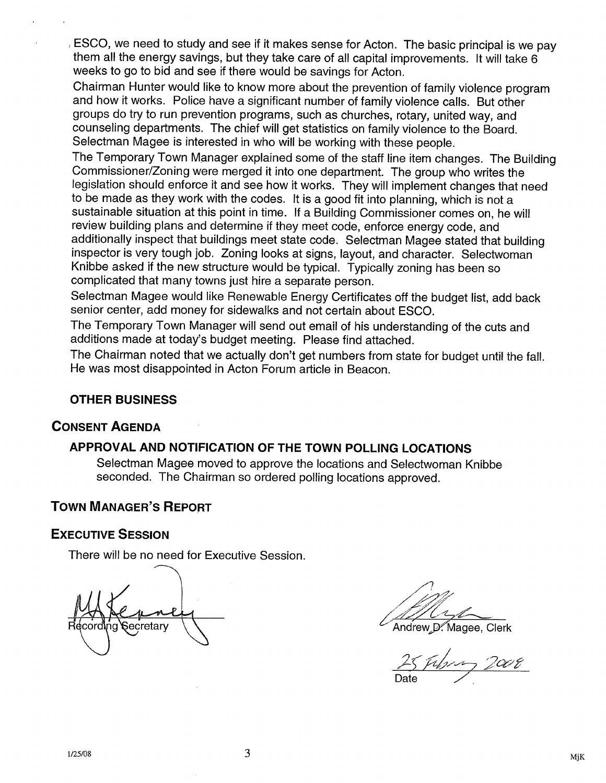ESCO, we need to study and see if it makes sense for Acton. The basic principal is we pay them all the energy savings, but they take care of all capital improvements. It will take <sup>6</sup> weeks to go to bid and see if there would be savings for Acton.

Chairman Hunter would like to know more about the prevention of family violence program and how it works. Police have <sup>a</sup> significant number of family violence calls. But other groups do try to run prevention programs, such as churches, rotary, united way, and counseling departments. The chief will get statistics on family violence to the Board. Selectman Magee is interested in who will be working with these people.

The Temporary Town Manager explained some of the staff line item changes. The Building Commissioner/Zoning were merged it into one department. The group who writes the legislation should enforce it and see how it works. They will implement changes that need to be made as they work with the codes. It is <sup>a</sup> good fit into <sup>p</sup>lanning, which is not <sup>a</sup> sustainable situation at this point in time. If <sup>a</sup> Building Commissioner comes on, he will review building <sup>p</sup>lans and determine if they meet code, enforce energy code, and additionally inspect that buildings meet state code. Selectman Magee stated that building inspector is very tough job. Zoning looks at signs, layout, and character. Selectwoman Knibbe asked if the new structure would be typical. Typically zoning has been so complicated that many towns just hire <sup>a</sup> separate person.

Selectman Magee would like Renewable Energy Certificates off the budget list, add back senior center, add money for sidewalks and not certain about ESCO.

The Temporary Town Manager will send out email of his understanding of the cuts and additions made at today's budget meeting. Please find attached.

The Chairman noted that we actually don't get numbers from state for budget until the fall. He was most disappointed in Acton Forum article in Beacon.

### OTHER BUSINESS

### CONSENT AGENDA

## APPROVAL AND NOTIFICATION OF THE TOWN POLLING LOCATIONS

Selectman Magee moved to approve the locations and Selectwoman Knibbe seconded. The Chairman so ordered polling locations approved.

### TOWN MANAGER'S REPORT

### EXECUTIVE SESSION

There will be no need for Executive Session.

Fecretary  $\setminus$  Andrew D. Magee, Clerk

 $25$  Julys Date  $\swarrow$ 

 $1/25/08$  MjK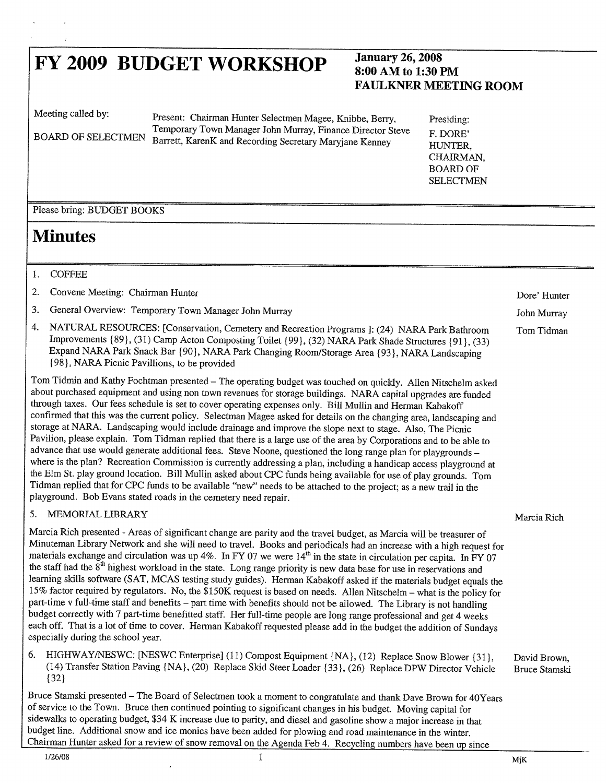# $FY$  2009 BUDGET WORKSHOP  $_{8:00 \text{ AM to } 1:30 \text{ PM}}^{January 26,2008}$

# FAULKNER MEETING ROOM

Meeting called by: Present: Chairman Hunter Selectmen Magee, Knibbe, Berry, Presiding: Temporary Town Manager John Murray, Finance Director Steve BOARD OF SELECTMEN Fellpotary Town Manager John Murray, Finance Director Steve F. DORE'<br>HUNTER, FINTER,

CHAIRMAN, BOARD OF **SELECTMEN** 

Please bring: BUDGET BOOKS

# **Minutes**

### 1. COFFEE

- 2. Convene Meeting: Chairman Hunter and Convenience of the Dore' Hunter Dore' Hunter
- 3. General Overview: Temporary Town Manager John Murray John Murray John Murray
- 4. NATURAL RESOURCES: [Conservation, Cemetery and Recreation Programs]: (24) NARA Park Bathroom Tom Tidman Improvements {89}, (31) Camp Acton Composting Toilet {99}, (32) NARA Park Shade Structures (91), (33) Expand NARA Park Snack Bar { 90), NARA Park Changing Room/Storage Area { 93), NARA Landscaping {98}, NARA Picnic Pavillions, to be provided

Tom Tidmin and Kathy Fochtman presented — The operating budget was touched on quickly. Allen Nitschelm asked about purchased equipment and using non town revenues for storage buildings. NARA capital upgrades are funded through taxes. Our fees schedule is set to cover operating expenses only. Bill Mullin and Herman Kabakoff confirmed that this was the current policy. Selectman Magee asked for details on the changing area, landscaping and storage at NARA. Landscaping would include drainage and improve the slope next to stage. Also, The Picnic Pavilion, <sup>p</sup>lease explain. Tom Tidman replied that there is <sup>a</sup> large use of the area by Corporations and to be able to advance that use would generate additional fees. Steve Noone, questioned the long range <sup>p</sup>lan for <sup>p</sup>laygrounds where is the <sup>p</sup>lan? Recreation Commission is currently addressing <sup>a</sup> <sup>p</sup>lan, including <sup>a</sup> handicap access <sup>p</sup>layground at the Elm St. <sup>p</sup>lay ground location. Bill Mullin asked about CPC funds being available for use of <sup>p</sup>lay grounds. Tom Tidman replied that for CPC funds to be available "new" needs to be attached to the project; as <sup>a</sup> new trail in the <sup>p</sup>layground. Bob Evans stated roads in the cemetery need repair.

### 5. MEMORIAL LIBRARY Marcia Rich

Marcia Rich presented -Areas of significant change are parity and the travel budget, as Marcia will be treasurer of Minuteman Library Network and she will need to travel. Books and periodicals had an increase with <sup>a</sup> high request for materials exchange and circulation was up 4%. In FY 07 we were 14<sup>th</sup> in the state in circulation per capita. In FY 07<br>the staff had the 8<sup>th</sup> highest workload in the state. Long range priority is new data base for use in learning skills software (SAT, MCAS testing study guides). Herman Kabakoff asked if the materials budget equals the 15% factor required by regulators. No, the \$150K request is based on needs. Allen Nitschelm — what is the policy for part-time <sup>v</sup> full-time staff and benefits — part time with benefits should not be allowed. The Library is not handling budget correctly with <sup>7</sup> part-time benefitted staff. Her full-time people are long range professional and get <sup>4</sup> weeks each off. That is <sup>a</sup> lot of time to cover. Herman Kabakoff requested <sup>p</sup>lease add in the budget the addition of Sundays especially during the school year.

6. HIGHWAY/NESWC: [NESWC Enterprise] (11) Compost Equipment {NA}, (12) Replace Snow Blower {31}, David Brown, (14) Transfer Station Paving {NA}, (20) Replace Skid Steer Loader {33}, (26) Replace DPW Director Vehicle Bruce (14) Transfer Station Paving {NA}, (20) Replace Skid Steer Loader {33}, (26) Replace DPW Director Vehicle (32)

Bruce Stamski presented — The Board of Selectmen took <sup>a</sup> moment to congratulate and thank Dave Brown for 40Years of service to the Town. Bruce then continued pointing to significant changes in his budget. Moving capital for sidewalks to operating budget, \$34 <sup>K</sup> increase due to parity, and diesel and gasoline show <sup>a</sup> major increase in that budget line. Additional snow and ice monies have been added for <sup>p</sup>lowing and road maintenance in the winter. Chairman Hunter asked for <sup>a</sup> review of snow removal on the Agenda Feb 4. Recycling numbers have been up since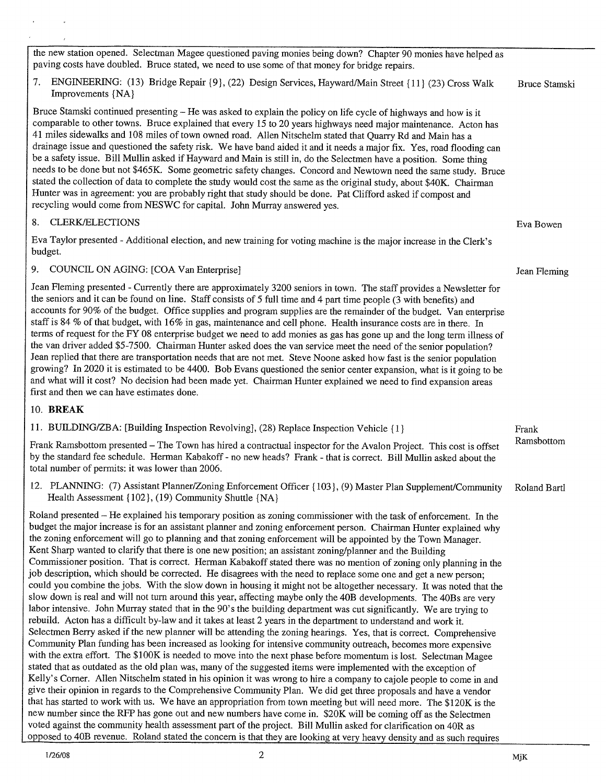the new station opened. Selectman Magee questioned paving monies being down? Chapter 90 monies have helped as paving costs have doubled. Bruce stated, we need to use some of that money for bridge repairs.

7. ENGINEERING: (13) Bridge Repair {9}, (22) Design Services, Hayward/Main Street (11) (23) Cross Walk Bruce Stamski Improvements { NA

Bruce Stamski continued presenting — He was asked to explain the policy on life cycle of highways and how is it comparable to other towns. Bruce explained that every 15 to 20 years highways need major maintenance. Acton has 41 miles sidewalks and 108 miles of town owned road. Allen Nitschelm stated that Quarry Rd and Main has a drainage issue and questioned the safety risk. We have band aided it and it needs a major fix. Yes, road flooding can be a safety issue. Bill Mullin asked if Hayward and Main is still in, do the Selectmen have a position. Some thing needs to be done but not \$465K. Some geometric safety changes. Concord and Newtown need the same study. Bruce stated the collection of data to complete the study would cost the same as the original study, about \$40K. Chairman Hunter was in agreement: you are probably right that study should be done. Pat Clifford asked if compost and recycling would come from NESWC for capital. John Murray answered yes.

### **CLERK/ELECTIONS** Eva Bowen

Eva Taylor presented -Additional election, and new training for voting machine is the major increase in the Clerk's budget.

9. COUNCIL ON AGING: [COA Van Enterprise] Jean Fleming Jean Fleming

Jean Fleming presented -Currently there are approximately 3200 seniors in town. The staff provides <sup>a</sup> Newsletter for the seniors and it can be found on line. Staff consists of 5 full time and 4 part time people  $(3 \text{ with benefits})$  and accounts for 90% of the budget. Office supplies and program supplies are the remainder of the budget. Van enterprise staff is 84 % of that budget, with 16% in gas, maintenance and cell phone. Health insurance costs are in there. In terms of request for the FY 08 enterprise budget we need to add monies as gas has gone up and the long term illness of the van driver added \$5-7500. Chairman Hunter asked does the van service meet the need of the senior population? Jean replied that there are transportation needs that are not met. Steve Noone asked how fast is the senior population growing? In 2020 it is estimated to be 4400. Bob Evans questioned the senior center expansion, what is it going to be and what will it cost? No decision had been made yet. Chairman Hunter explained we need to find expansion areas first and then we can have estimates done.

### 10. BREAK

| 11. BUILDING/ZBA: [Building Inspection Revolving], (28) Replace Inspection Vehicle {1}                                                                                                                                                                                                                                                                                                                                                                                                                                                                                                                                                                                                                                                                                                                                                    | Frank        |
|-------------------------------------------------------------------------------------------------------------------------------------------------------------------------------------------------------------------------------------------------------------------------------------------------------------------------------------------------------------------------------------------------------------------------------------------------------------------------------------------------------------------------------------------------------------------------------------------------------------------------------------------------------------------------------------------------------------------------------------------------------------------------------------------------------------------------------------------|--------------|
| Frank Ramsbottom presented – The Town has hired a contractual inspector for the Avalon Project. This cost is offset<br>by the standard fee schedule. Herman Kabakoff - no new heads? Frank - that is correct. Bill Mullin asked about the<br>total number of permits: it was lower than 2006.                                                                                                                                                                                                                                                                                                                                                                                                                                                                                                                                             | Ramsbottom   |
| 12. PLANNING: (7) Assistant Planner/Zoning Enforcement Officer {103}, (9) Master Plan Supplement/Community<br>Health Assessment {102}, (19) Community Shuttle {NA}                                                                                                                                                                                                                                                                                                                                                                                                                                                                                                                                                                                                                                                                        | Roland Bartl |
| Roland presented – He explained his temporary position as zoning commissioner with the task of enforcement. In the<br>budget the major increase is for an assistant planner and zoning enforcement person. Chairman Hunter explained why<br>the zoning enforcement will go to planning and that zoning enforcement will be appointed by the Town Manager.<br>Kent Sharp wanted to clarify that there is one new position; an assistant zoning/planner and the Building<br>Commissioner position. That is correct. Herman Kabakoff stated there was no mention of zoning only planning in the<br>job description, which should be corrected. He disagrees with the need to replace some one and get a new person;<br>could you combine the jobs. With the slow down in housing it might not be altogether necessary. It was noted that the |              |

slow down is real and will not turn around this year, affecting maybe only the 40B developments. The 4OBs are very labor intensive. John Murray stated that in the 90's the building department was cut significantly. We are trying to rebuild. Acton has a difficult by-law and it takes at least 2 years in the department to understand and work it. Selectmen Berry asked if the new planner will be attending the zoning hearings. Yes, that is correct. Comprehensive Community Plan funding has been increased as looking for intensive community outreach, becomes more expensive with the extra effort. The \$100K is needed to move into the next phase before momentum is lost. Selectman Magee stated that as outdated as the old plan was, many of the suggested items were implemented with the exception of Kelly's Corner. Allen Nitschelm stated in his opinion it was wrong to hire a company to cajole people to come in and give their opinion in regards to the Comprehensive Community Plan. We did get three proposals and have a vendor that has started to work with us. We have an appropriation from town meeting but will need more. The \$120K is the new number since the RFP has gone out and new numbers have come in. \$20K will be coming off as the Selectmen voted against the community health assessment part of the project. Bill Mullin asked for clarification on 40R as opposed to 40B revenue. Roland stated the concern is that they are looking at very heavy density and as such requires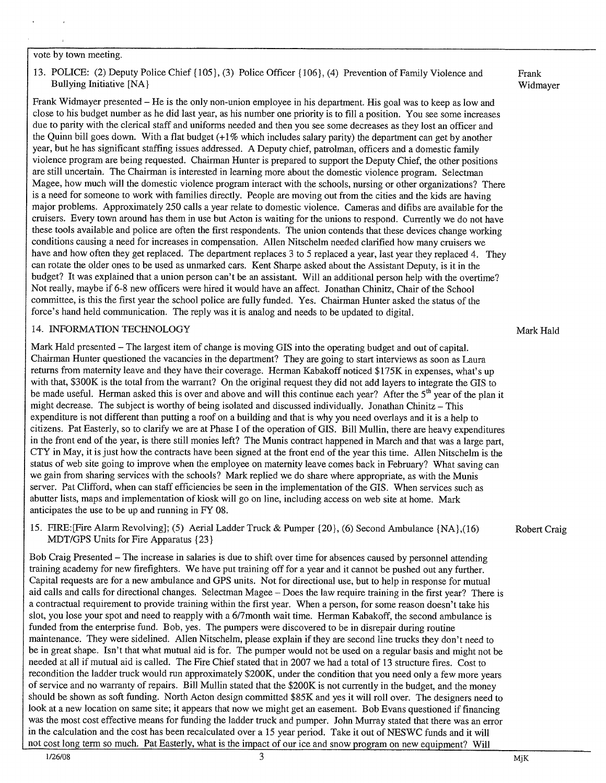#### vote by town meeting.

13. POLICE: (2) Deputy Police Chief {105}, (3) Police Officer {106}, (4) Prevention of Family Violence and Frank Bullying Initiative [NA] Widmayer

Frank Widmayer presented — He is the only non-union employee in his department. His goal was to keep as low and close to his budget number as he did last year, as his number one priority is to fill a position. You see some increases due to parity with the clerical staff and uniforms needed and then you see some decreases as they lost an officer and the Quinn bill goes down. With a flat budget  $(+1\%$  which includes salary parity) the department can get by another year, but he has significant staffing issues addressed. A Deputy chief, patrolman, officers and a domestic family violence program are being requested. Chairman Hunter is prepared to support the Deputy Chief, the other positions are still uncertain. The Chairman is interested in learning more about the domestic violence program. Selectman Magee, how much will the domestic violence program interact with the schools, nursing or other organizations? There is a need for someone to work with families directly. People are moving out from the cities and the kids are having major problems. Approximately 250 calls a year relate to domestic violence. Cameras and difibs are available for the cruisers. Every town around has them in use but Acton is waiting for the unions to respond. Currently we do not have these tools available and police are often the first respondents. The union contends that these devices change working conditions causing a need for increases in compensation. Allen Nitschelm needed clarified how many cruisers we have and how often they get replaced. The department replaces <sup>3</sup> to 5 replaced a year, last year they replaced 4. They can rotate the older ones to be used as unmarked cars. Kent Sharpe asked about the Assistant Deputy, is it in the budget? It was explained that a union person can't be an assistant. Will an additional person help with the overtime? Not really, maybe if 6-8 new officers were hired it would have an affect. Jonathan Chinitz, Chair of the School committee, is this the first year the school police are fully funded. Yes. Chairman Hunter asked the status of the force's hand held communication. The reply was it is analog and needs to be updated to digital.

#### 14. INFORMATION TECHNOLOGY **Mark Hald**

Mark Hald presented — The largest item of change is moving GIS into the operating budget and out of capital. Chairman Hunter questioned the vacancies in the department? They are going to start interviews as soon as Laura returns from maternity leave and they have their coverage. Herman Kabakoff noticed \$175K in expenses, what's up with that, \$300K is the total from the warrant? On the original request they did not add layers to integrate the GIS to with that, \$300K is the total from the warrant? On the original request they did not add layers to integrate the GIS to<br>be made useful. Herman asked this is over and above and will this continue each year? After the 5<sup>th</sup> might decrease. The subject is worthy of being isolated and discussed individually. Jonathan Chinitz — This expenditure is not different than putting a roof on a building and that is why you need overlays and it is a help to citizens. Pat Easterly, so to clarify we are at Phase I of the operation of GIS. Bill Mullin, there are heavy expenditures in the front end of the year, is there still monies left? The Munis contract happened in March and that was a large part, CTY in May, it is just how the contracts have been signed at the front end of the year this time. Allen Nitschelm is the status of web site going to improve when the employee on maternity leave comes back in February? What saving can we gain from sharing services with the schools? Mark replied we do share where appropriate, as with the Munis server. Pat Clifford, when can staff efficiencies be seen in the implementation of the GIS. When services such as abutter lists, maps and implementation of kiosk will go on line, including access on web site at home. Mark anticipates the use to be up and running in FY 08.

15. FIRE: [Fire Alarm Revolving]; (5) Aerial Ladder Truck & Pumper  $\{20\}$ , (6) Second Ambulance  $\{NA\}$ , (16) Robert Craig MDT/GPS Units for Fire Apparatus { 23

Bob Craig Presented — The increase in salaries is due to shift over time for absences caused by personnel attending training academy for new firefighters. We have put training off for a year and it cannot be pushed out any further. Capital requests are for a new ambulance and GPS units. Not for directional use, but to help in response for mutual aid calls and calls for directional changes. Selectman Magee — Does the law require training in the first year? There is a contractual requirement to provide training within the first year. When a person, for some reason doesn't take his slot, you lose your spot and need to reapply with a 6/7month wait time. Herman Kabakoff, the second ambulance is funded from the enterprise fund. Bob, yes. The pumpers were discovered to be in disrepair during routine maintenance. They were sidelined. Allen Nitschelm, please explain if they are second line trucks they don't need to be in great shape. Isn't that what mutual aid is for. The pumper would not be used on a regular basis and might not be needed at all if mutual aid is called. The Fire Chief stated that in 2007 we had a total of 13 structure fires. Cost to recondition the ladder truck would run approximately \$200K, under the condition that you need only a few more years of service and no warranty of repairs. Bill Mullin stated that the \$200K is not currently in the budget, and the money should be shown as soft funding. North Acton design committed \$85K and yes it will roll over. The designers need to look at a new location on same site; it appears that now we might get an easement. Bob Evans questioned if financing was the most cost effective means for funding the ladder truck and pumper. John Murray stated that there was an error in the calculation and the cost has been recalculated over a 15 year period. Take it out of NESWC funds and it will not cost long term so much. Pat Easterly, what is the impact of our ice and snow program on new equipment? Will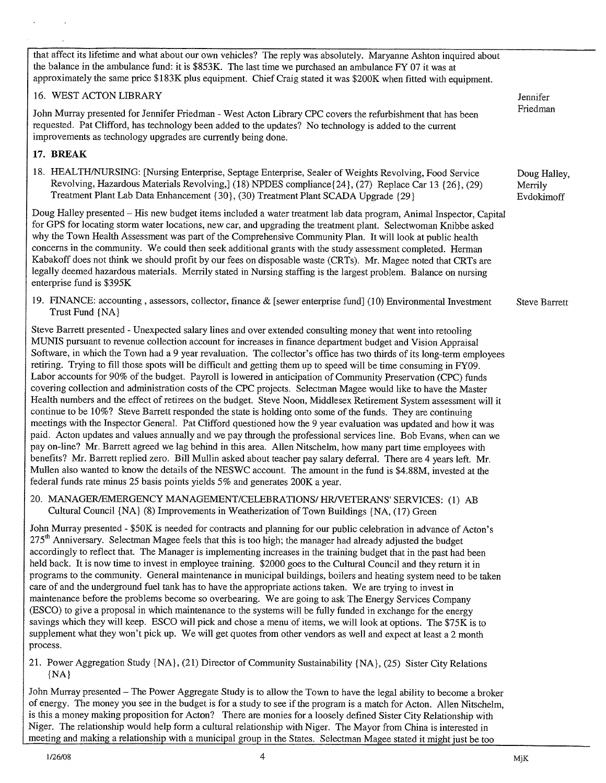that affect its lifetime and what about our own vehicles? The reply was absolutely. Maryanne Ashton inquired about the balance in the ambulance fund: it is \$853K. The last time we purchased an ambulance FY 07 it was at approximately the same price \$183K plus equipment. Chief Craig stated it was \$200K when fitted with equipment. 16. WEST ACTON LIBRARY Jennifer John Murray presented for Jennifer Friedman - West Acton Library CPC covers the refurbishment that has been Friedman requested. Pat Clifford, has technology been added to the updates? No technology is added to the current improvements as technology upgrades are currently being done. 17. BREAK 18. HEALTH/NURSING: [Nursing Enterprise, Septage Enterprise, Sealer of Weights Revolving, Food Service Doug Halley, Revolving, Hazardous Materials Revolving,] (18) NPDES compliance{24}, (27) Replace Car 13 {26}, (29) Merrily<br>Treatment Plant Lab Data Enhancement {30}, (30) Treatment Plant SCADA Upgrade {29} Evdokimoff Treatment Plant Lab Data Enhancement {30}, (30) Treatment Plant SCADA Upgrade {29} Doug Halley presented — His new budget items included a water treatment lab data program, Animal Inspector, Capital for GPS for locating storm water locations, new car, and upgrading the treatment plant. Selectwoman Knibbe asked why the Town Health Assessment was part of the Comprehensive Community Plan. It will look at public health concerns in the community. We could then seek additional grants with the study assessment completed. Herman Kabakoff does not think we should profit by our fees on disposable waste (CRTs). Mr. Magee noted that CRTs are legally deemed hazardous materials. Merrily stated in Nursing staffing is the largest problem. Balance on nursing enterprise fund is \$395K 19. FINANCE: accounting , assessors, collector, finance & [sewer enterprise fund] (10) Environmental Investment Steve Barrett Trust Fund (NA) Steve Barrett presented -Unexpected salary lines and over extended consulting money that went into retooling MUNIS pursuant to revenue collection account for increases in finance department budget and Vision Appraisal Software, in which the Town had a 9 year revaluation. The collector's office has two thirds of its long-term employees retiring. Trying to fill those spots will be difficult and getting them up to speed will be time consuming in FY09. Labor accounts for 90% of the budget. Payroll is lowered in anticipation of Community Preservation (CPC) funds covering collection and administration costs of the CPC projects. Selectman Magee would like to have the Master Health numbers and the effect of retirees on the budget. Steve Noon, Middlesex Retirement System assessment will it continue to be 10%? Steve Barrett responded the state is holding onto some of the funds. They are continuing meetings with the Inspector General. Pat Clifford questioned how the <sup>9</sup> year evaluation was updated and how it was paid. Acton updates and values annually and we pay through the professional services line. Bob Evans, when can we pay on-line? Mr. Barrett agreed we lag behind in this area. Allen Nitschelm, how many part time employees with benefits? Mr. Barrett replied zero. Bill Mullin asked about teacher pay salary deferral. There are 4 years left. Mr. Mullen also wanted to know the details of the NESWC account. The amount in the fund is \$4.88M, invested at the federal funds rate minus 25 basis points yields 5% and generates 200K a year.

### 20. MANAGER/EMERGENCY MANAGEMENT/CELEBRATIONS/ HR/VETERANS' SERVICES: (1) AB Cultural Council {NA} (8) Improvements in Weatherization of Town Buildings (NA, (17) Green

John Murray presented - \$50K is needed for contracts and planning for our public celebration in advance of Acton's  $275<sup>th</sup>$  Anniversary. Selectman Magee feels that this is too high; the manager had already adjusted th accordingly to reflect that. The Manager is implementing increases in the training budget that in the past had been held back. It is now time to invest in employee training. \$2000 goes to the Cultural Council and they return it in programs to the community. General maintenance in municipal buildings, boilers and heating system need to be taken care of and the underground fuel tank has to have the appropriate actions taken. We are trying to invest in maintenance before the problems become so overbearing. We are going to ask The Energy Services Company (ESCO) to give a proposal in which maintenance to the systems will be fully funded in exchange for the energy savings which they will keep. ESCO will pick and chose a menu of items, we will look at options. The \$75K is to supplement what they won't pick up. We will get quotes from other vendors as well and expect at least a 2 month process.

21. Power Aggregation Study { NA), (21) Director of Community Sustainability (NA), (25) Sister City Relations (NA)

John Murray presented — The Power Aggregate Study is to allow the Town to have the legal ability to become a broker of energy. The money you see in the budget is for a study to see if the program is a match for Acton. Allen Nitschelm, is this a money making proposition for Acton? There are monies for a loosely defined Sister City Relationship with Niger. The relationship would help form a cultural relationship with Niger. The Mayor from China is interested in meeting and making a relationship with a municipal group in the States. Selectman Magee stated it might just be too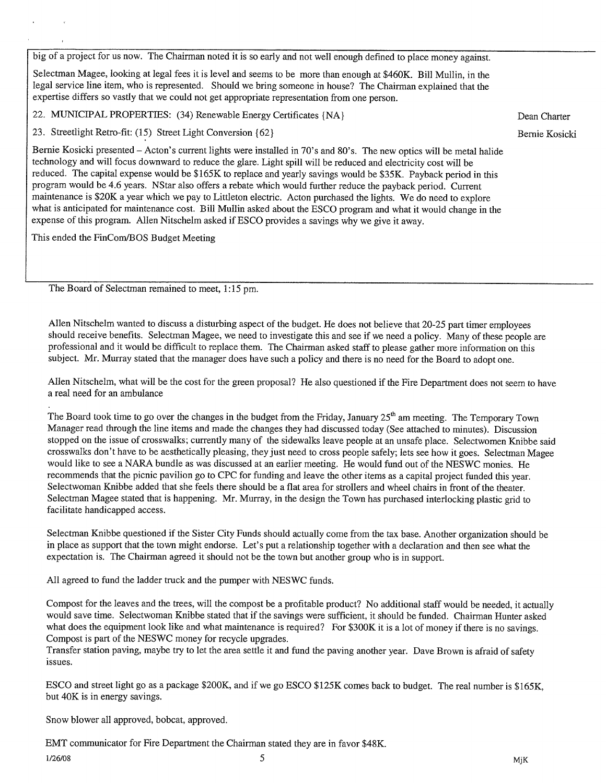big of a project for us now. The Chairman noted it is so early and not well enough defined to place money against.

Selectman Magee, looking at legal fees it is level and seems to be more than enough at \$460K. Bill Mullin, in the legal service line item, who is represented. Should we bring someone in house? The Chairman explained that the expertise differs so vastly that we could not get appropriate representation from one person.

22. MUNICIPAL PROPERTIES: (34) Renewable Energy Certificates {NA} Dean Charter

23. Streetlight Retro-fit: (15) Street Light Conversion { 62 } Bernie Kosicki

Bernie Kosicki presented — Acton's current lights were installed in 70's and 80's. The new optics will be metal halide technology and will focus downward to reduce the glare. Light spill will be reduced and electricity cost will be reduced. The capital expense would be \$165K to replace and yearly savings would be \$35K. Payback period in this program would be 4.6 years. NStar also offers a rebate which would further reduce the payback period. Current maintenance is \$20K a year which we pay to Littleton electric. Acton purchased the lights. We do need to explore what is anticipated for maintenance cost. Bill Mullin asked about the ESCO program and what it would change in the expense of this program. Allen Nitschelm asked if ESCO provides a savings why we give it away.

This ended the FinCom/BOS Budget Meeting

The Board of Selectman remained to meet, 1:15 pm.

Allen Nitschelm wanted to discuss a disturbing aspect of the budget. He does not believe that 20-25 part timer employees should receive benefits. Selectman Magee, we need to investigate this and see if we need a policy. Many of these people are professional and it would be difficult to replace them. The Chairman asked staff to please gather more information on this subject. Mr. Murray stated that the manager does have such a policy and there is no need for the Board to adopt one.

Allen Nitschelm, what will be the cost for the green proposal? He also questioned if the Fire Department does not seem to have a real need for an ambulance

The Board took time to go over the changes in the budget from the Friday, January  $25<sup>th</sup>$  am meeting. The Temporary Town Manager read through the line items and made the changes they had discussed today (See attached to minutes). Discussion stopped on the issue of crosswalks; currently many of the sidewalks leave people at an unsafe place. Selectwomen Knibbe said crosswalks don't have to be aesthetically pleasing, they just need to cross people safely; lets see how it goes. Selectman Magee would like to see a NARA bundle as was discussed at an earlier meeting. He would fund out of the NESWC monies. He recommends that the picnic pavilion go to CPC for funding and leave the other items as a capital project funded this year. Selectwoman Knibbe added that she feels there should be a flat area for strollers and wheel chairs in front of the theater. Selectman Magee stated that is happening. Mr. Murray, in the design the Town has purchased interlocking plastic grid to facilitate handicapped access.

Selectman Knibbe questioned if the Sister City Funds should actually come from the tax base. Another organization should be in place as support that the town might endorse. Let's put a relationship together with a declaration and then see what the expectation is. The Chairman agreed it should not be the town but another group who is in support.

All agreed to fund the ladder truck and the pumper with NESWC funds.

Compost for the leaves and the trees, will the compost be a profitable product? No additional staff would be needed, it actually would save time. Selectwoman Knibbe stated that if the savings were sufficient, it should be funded. Chairman Hunter asked what does the equipment look like and what maintenance is required? For \$300K it is a lot of money if there is no savings. Compost is part of the NESWC money for recycle upgrades.

Transfer station paving, maybe try to let the area settle it and fund the paving another year. Dave Brown is afraid of safety issues.

ESCO and street light go as a package \$200K, and if we go ESCO \$125K comes back to budget. The real number is \$165K, but 40K is in energy savings.

Snow blower all approved, bobcat, approved.

EMT communicator for Fire Department the Chairman stated they are in favor \$48K.

 $1/26/08$  MjK